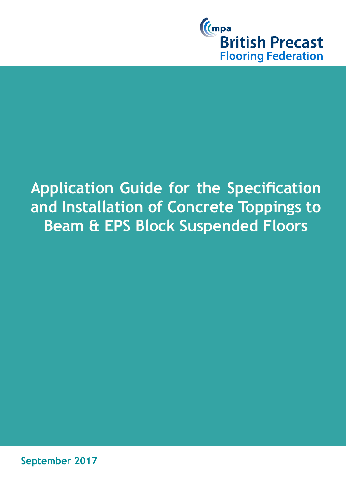

# **Application Guide for the Specification and Installation of Concrete Toppings to Beam & EPS Block Suspended Floors**

**September 2017**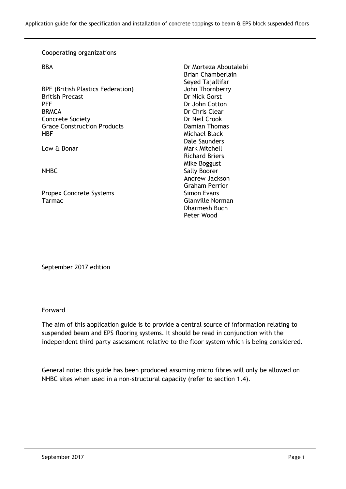#### Cooperating organizations

BPF (British Plastics Federation) John Thornberry British Precast **Dr Nick Gorst** PFF Dr John Cotton BRMCA Dr John Cotton BRMCA Concrete Society **Dr Neil Crook** Grace Construction Products **Damian Thomas** HBF Michael Black

Propex Concrete Systems Simon Evans Tarmac **Glanville Norman** 

BBA Dr Morteza Aboutalebi Brian Chamberlain Seyed Tajallifar Dr Chris Clear Dale Saunders Low & Bonar Mark Mitchell Richard Briers Mike Boggust NHBC Sally Boorer Andrew Jackson Graham Perrior Dharmesh Buch Peter Wood

September 2017 edition

#### Forward

The aim of this application guide is to provide a central source of information relating to suspended beam and EPS flooring systems. It should be read in conjunction with the independent third party assessment relative to the floor system which is being considered.

General note: this guide has been produced assuming micro fibres will only be allowed on NHBC sites when used in a non-structural capacity (refer to section 1.4).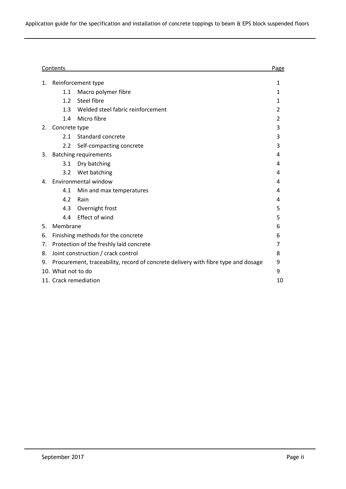|    | Contents                                                                          |                                   |   |
|----|-----------------------------------------------------------------------------------|-----------------------------------|---|
| 1. | Reinforcement type                                                                |                                   | 1 |
|    | 1.1                                                                               | Macro polymer fibre               | 1 |
|    | 1.2                                                                               | Steel fibre                       | 1 |
|    | 1.3                                                                               | Welded steel fabric reinforcement | 2 |
|    | 1.4                                                                               | Micro fibre                       | 2 |
| 2. | Concrete type                                                                     |                                   | 3 |
|    | 2.1                                                                               | Standard concrete                 | 3 |
|    | 2.2                                                                               | Self-compacting concrete          | 3 |
| 3. | <b>Batching requirements</b>                                                      |                                   | 4 |
|    | 3.1                                                                               | Dry batching                      | 4 |
|    | 3.2                                                                               | Wet batching                      | 4 |
| 4. | Environmental window                                                              |                                   | 4 |
|    | 4.1                                                                               | Min and max temperatures          | 4 |
|    | 4.2                                                                               | Rain                              | 4 |
|    | 4.3                                                                               | Overnight frost                   | 5 |
|    | 4.4                                                                               | <b>Effect of wind</b>             | 5 |
| 5. | Membrane                                                                          |                                   | 6 |
| 6. | Finishing methods for the concrete                                                |                                   | 6 |
| 7. | Protection of the freshly laid concrete                                           |                                   | 7 |
| 8. | Joint construction / crack control                                                |                                   | 8 |
| 9. | Procurement, traceability, record of concrete delivery with fibre type and dosage |                                   | 9 |
|    | 10. What not to do                                                                |                                   |   |
|    | 11. Crack remediation                                                             |                                   |   |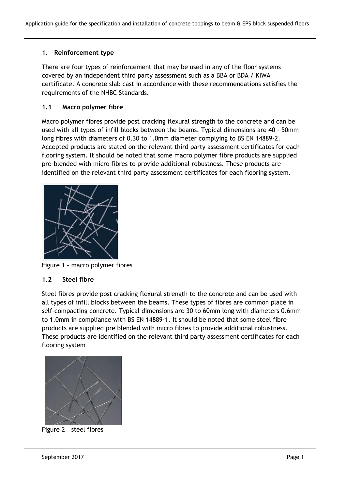## **1. Reinforcement type**

There are four types of reinforcement that may be used in any of the floor systems covered by an independent third party assessment such as a BBA or BDA / KIWA certificate. A concrete slab cast in accordance with these recommendations satisfies the requirements of the NHBC Standards.

## **1.1 Macro polymer fibre**

Macro polymer fibres provide post cracking flexural strength to the concrete and can be used with all types of infill blocks between the beams. Typical dimensions are 40 - 50mm long fibres with diameters of 0.30 to 1.0mm diameter complying to BS EN 14889-2. Accepted products are stated on the relevant third party assessment certificates for each flooring system. It should be noted that some macro polymer fibre products are supplied pre-blended with micro fibres to provide additional robustness. These products are identified on the relevant third party assessment certificates for each flooring system.



Figure 1 – macro polymer fibres

#### **1.2 Steel fibre**

Steel fibres provide post cracking flexural strength to the concrete and can be used with all types of infill blocks between the beams. These types of fibres are common place in self-compacting concrete. Typical dimensions are 30 to 60mm long with diameters 0.6mm to 1.0mm in compliance with BS EN 14889-1. It should be noted that some steel fibre products are supplied pre blended with micro fibres to provide additional robustness. These products are identified on the relevant third party assessment certificates for each flooring system



Figure 2 – steel fibres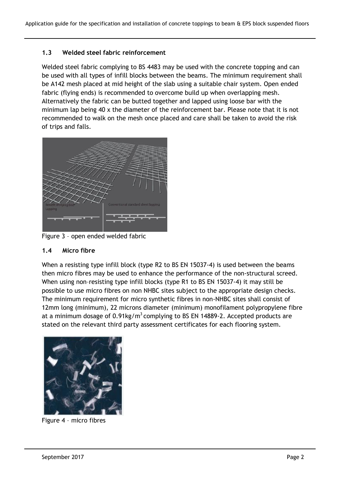## **1.3 Welded steel fabric reinforcement**

Welded steel fabric complying to BS 4483 may be used with the concrete topping and can be used with all types of infill blocks between the beams. The minimum requirement shall be A142 mesh placed at mid height of the slab using a suitable chair system. Open ended fabric (flying ends) is recommended to overcome build up when overlapping mesh. Alternatively the fabric can be butted together and lapped using loose bar with the minimum lap being 40 x the diameter of the reinforcement bar. Please note that it is not recommended to walk on the mesh once placed and care shall be taken to avoid the risk of trips and falls.



Figure 3 – open ended welded fabric

#### **1.4 Micro fibre**

When a resisting type infill block (type R2 to BS EN 15037-4) is used between the beams then micro fibres may be used to enhance the performance of the non-structural screed. When using non–resisting type infill blocks (type R1 to BS EN 15037-4) it may still be possible to use micro fibres on non NHBC sites subject to the appropriate design checks. The minimum requirement for micro synthetic fibres in non-NHBC sites shall consist of 12mm long (minimum), 22 microns diameter (minimum) monofilament polypropylene fibre at a minimum dosage of  $0.91 \text{kg/m}^3$  complying to BS EN 14889-2. Accepted products are stated on the relevant third party assessment certificates for each flooring system.



Figure 4 – micro fibres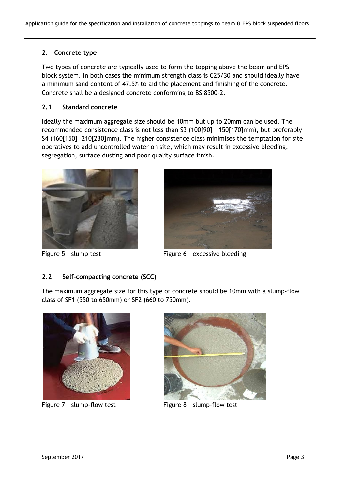# **2. Concrete type**

Two types of concrete are typically used to form the topping above the beam and EPS block system. In both cases the minimum strength class is C25/30 and should ideally have a minimum sand content of 47.5% to aid the placement and finishing of the concrete. Concrete shall be a designed concrete conforming to BS 8500-2.

# **2.1 Standard concrete**

Ideally the maximum aggregate size should be 10mm but up to 20mm can be used. The recommended consistence class is not less than S3 (100[90] – 150[170]mm), but preferably S4 (160[150] –210[230]mm). The higher consistence class minimises the temptation for site operatives to add uncontrolled water on site, which may result in excessive bleeding, segregation, surface dusting and poor quality surface finish.





Figure 5 - slump test Figure 6 - excessive bleeding

# **2.2 Self-compacting concrete (SCC)**

The maximum aggregate size for this type of concrete should be 10mm with a slump-flow class of SF1 (550 to 650mm) or SF2 (660 to 750mm).



Figure 7 - slump-flow test Figure 8 - slump-flow test

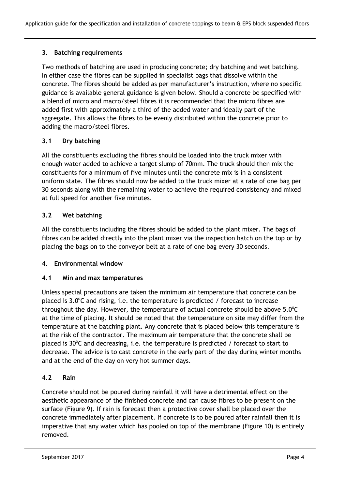# **3. Batching requirements**

Two methods of batching are used in producing concrete; dry batching and wet batching. In either case the fibres can be supplied in specialist bags that dissolve within the concrete. The fibres should be added as per manufacturer's instruction, where no specific guidance is available general guidance is given below. Should a concrete be specified with a blend of micro and macro/steel fibres it is recommended that the micro fibres are added first with approximately a third of the added water and ideally part of the sggregate. This allows the fibres to be evenly distributed within the concrete prior to adding the macro/steel fibres.

# **3.1 Dry batching**

All the constituents excluding the fibres should be loaded into the truck mixer with enough water added to achieve a target slump of 70mm. The truck should then mix the constituents for a minimum of five minutes until the concrete mix is in a consistent uniform state. The fibres should now be added to the truck mixer at a rate of one bag per 30 seconds along with the remaining water to achieve the required consistency and mixed at full speed for another five minutes.

## **3.2 Wet batching**

All the constituents including the fibres should be added to the plant mixer. The bags of fibres can be added directly into the plant mixer via the inspection hatch on the top or by placing the bags on to the conveyor belt at a rate of one bag every 30 seconds.

#### **4. Environmental window**

#### **4.1 Min and max temperatures**

Unless special precautions are taken the minimum air temperature that concrete can be placed is  $3.0^{\circ}$ C and rising, i.e. the temperature is predicted / forecast to increase throughout the day. However, the temperature of actual concrete should be above  $5.0^{\circ}$ C at the time of placing. It should be noted that the temperature on site may differ from the temperature at the batching plant. Any concrete that is placed below this temperature is at the risk of the contractor. The maximum air temperature that the concrete shall be placed is 30°C and decreasing, i.e. the temperature is predicted / forecast to start to decrease. The advice is to cast concrete in the early part of the day during winter months and at the end of the day on very hot summer days.

# **4.2 Rain**

Concrete should not be poured during rainfall it will have a detrimental effect on the aesthetic appearance of the finished concrete and can cause fibres to be present on the surface (Figure 9). If rain is forecast then a protective cover shall be placed over the concrete immediately after placement. If concrete is to be poured after rainfall then it is imperative that any water which has pooled on top of the membrane (Figure 10) is entirely removed.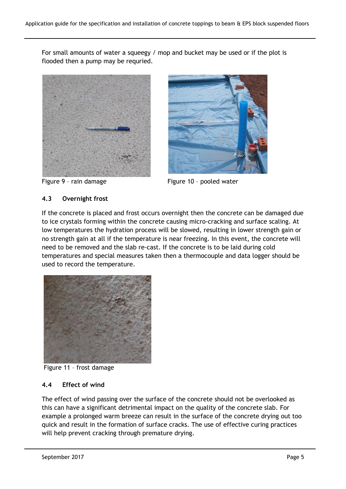For small amounts of water a squeegy / mop and bucket may be used or if the plot is flooded then a pump may be requried.





Figure 9 - rain damage Figure 10 - pooled water

# **4.3 Overnight frost**

If the concrete is placed and frost occurs overnight then the concrete can be damaged due to ice crystals forming within the concrete causing micro-cracking and surface scaling. At low temperatures the hydration process will be slowed, resulting in lower strength gain or no strength gain at all if the temperature is near freezing. In this event, the concrete will need to be removed and the slab re-cast. If the concrete is to be laid during cold temperatures and special measures taken then a thermocouple and data logger should be used to record the temperature.



Figure 11 – frost damage

# **4.4 Effect of wind**

The effect of wind passing over the surface of the concrete should not be overlooked as this can have a significant detrimental impact on the quality of the concrete slab. For example a prolonged warm breeze can result in the surface of the concrete drying out too quick and result in the formation of surface cracks. The use of effective curing practices will help prevent cracking through premature drying.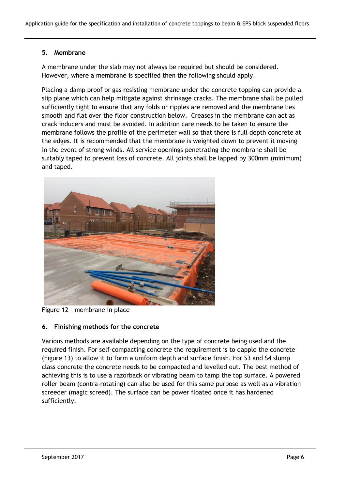## **5. Membrane**

A membrane under the slab may not always be required but should be considered. However, where a membrane is specified then the following should apply.

Placing a damp proof or gas resisting membrane under the concrete topping can provide a slip plane which can help mitigate against shrinkage cracks. The membrane shall be pulled sufficiently tight to ensure that any folds or ripples are removed and the membrane lies smooth and flat over the floor construction below. Creases in the membrane can act as crack inducers and must be avoided. In addition care needs to be taken to ensure the membrane follows the profile of the perimeter wall so that there is full depth concrete at the edges. It is recommended that the membrane is weighted down to prevent it moving in the event of strong winds. All service openings penetrating the membrane shall be suitably taped to prevent loss of concrete. All joints shall be lapped by 300mm (minimum) and taped.



Figure 12 – membrane in place

# **6. Finishing methods for the concrete**

Various methods are available depending on the type of concrete being used and the required finish. For self-compacting concrete the requirement is to dapple the concrete (Figure 13) to allow it to form a uniform depth and surface finish. For S3 and S4 slump class concrete the concrete needs to be compacted and levelled out. The best method of achieving this is to use a razorback or vibrating beam to tamp the top surface. A powered roller beam (contra-rotating) can also be used for this same purpose as well as a vibration screeder (magic screed). The surface can be power floated once it has hardened sufficiently.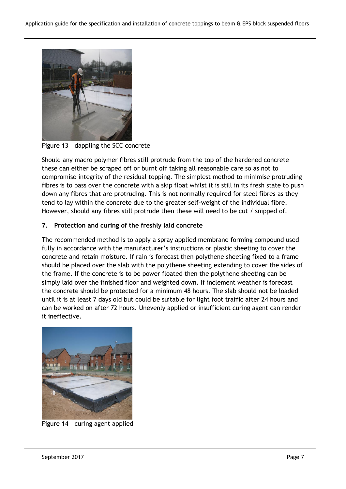

Figure 13 – dappling the SCC concrete

Should any macro polymer fibres still protrude from the top of the hardened concrete these can either be scraped off or burnt off taking all reasonable care so as not to compromise integrity of the residual topping. The simplest method to minimise protruding fibres is to pass over the concrete with a skip float whilst it is still in its fresh state to push down any fibres that are protruding. This is not normally required for steel fibres as they tend to lay within the concrete due to the greater self-weight of the individual fibre. However, should any fibres still protrude then these will need to be cut / snipped of.

# **7. Protection and curing of the freshly laid concrete**

The recommended method is to apply a spray applied membrane forming compound used fully in accordance with the manufacturer's instructions or plastic sheeting to cover the concrete and retain moisture. If rain is forecast then polythene sheeting fixed to a frame should be placed over the slab with the polythene sheeting extending to cover the sides of the frame. If the concrete is to be power floated then the polythene sheeting can be simply laid over the finished floor and weighted down. If inclement weather is forecast the concrete should be protected for a minimum 48 hours. The slab should not be loaded until it is at least 7 days old but could be suitable for light foot traffic after 24 hours and can be worked on after 72 hours. Unevenly applied or insufficient curing agent can render it ineffective.



Figure 14 – curing agent applied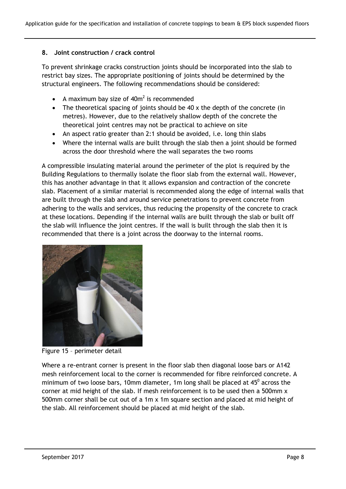## **8. Joint construction / crack control**

To prevent shrinkage cracks construction joints should be incorporated into the slab to restrict bay sizes. The appropriate positioning of joints should be determined by the structural engineers. The following recommendations should be considered:

- A maximum bay size of  $40m^2$  is recommended
- The theoretical spacing of joints should be 40 x the depth of the concrete (in metres). However, due to the relatively shallow depth of the concrete the theoretical joint centres may not be practical to achieve on site
- An aspect ratio greater than 2:1 should be avoided, i.e. long thin slabs
- Where the internal walls are built through the slab then a joint should be formed across the door threshold where the wall separates the two rooms

A compressible insulating material around the perimeter of the plot is required by the Building Regulations to thermally isolate the floor slab from the external wall. However, this has another advantage in that it allows expansion and contraction of the concrete slab. Placement of a similar material is recommended along the edge of internal walls that are built through the slab and around service penetrations to prevent concrete from adhering to the walls and services, thus reducing the propensity of the concrete to crack at these locations. Depending if the internal walls are built through the slab or built off the slab will influence the joint centres. If the wall is built through the slab then it is recommended that there is a joint across the doorway to the internal rooms.



Figure 15 – perimeter detail

Where a re-entrant corner is present in the floor slab then diagonal loose bars or A142 mesh reinforcement local to the corner is recommended for fibre reinforced concrete. A minimum of two loose bars, 10mm diameter, 1m long shall be placed at  $45^0$  across the corner at mid height of the slab. If mesh reinforcement is to be used then a 500mm x 500mm corner shall be cut out of a 1m x 1m square section and placed at mid height of the slab. All reinforcement should be placed at mid height of the slab.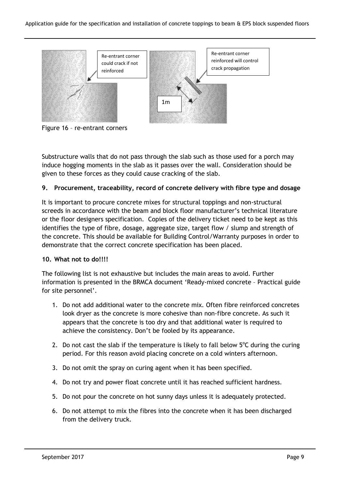

Figure 16 – re-entrant corners

Substructure walls that do not pass through the slab such as those used for a porch may induce hogging moments in the slab as it passes over the wall. Consideration should be given to these forces as they could cause cracking of the slab.

# **9. Procurement, traceability, record of concrete delivery with fibre type and dosage**

It is important to procure concrete mixes for structural toppings and non-structural screeds in accordance with the beam and block floor manufacturer's technical literature or the floor designers specification. Copies of the delivery ticket need to be kept as this identifies the type of fibre, dosage, aggregate size, target flow / slump and strength of the concrete. This should be available for Building Control/Warranty purposes in order to demonstrate that the correct concrete specification has been placed.

#### **10. What not to do!!!!**

The following list is not exhaustive but includes the main areas to avoid. Further information is presented in the BRMCA document 'Ready-mixed concrete – Practical guide for site personnel'.

- 1. Do not add additional water to the concrete mix. Often fibre reinforced concretes look dryer as the concrete is more cohesive than non-fibre concrete. As such it appears that the concrete is too dry and that additional water is required to achieve the consistency. Don't be fooled by its appearance.
- 2. Do not cast the slab if the temperature is likely to fall below  $5^{\circ}$ C during the curing period. For this reason avoid placing concrete on a cold winters afternoon.
- 3. Do not omit the spray on curing agent when it has been specified.
- 4. Do not try and power float concrete until it has reached sufficient hardness.
- 5. Do not pour the concrete on hot sunny days unless it is adequately protected.
- 6. Do not attempt to mix the fibres into the concrete when it has been discharged from the delivery truck.